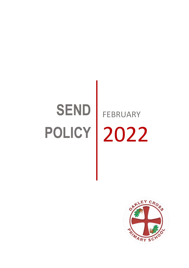# **SEND**

# **POLICY** 2022FEBRUARY

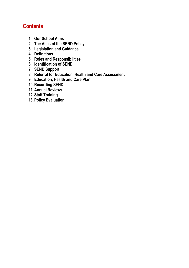# **Contents**

- **1. Our School Aims**
- **2. The Aims of the SEND Policy**
- **3. Legislation and Guidance**
- **4. Definitions**
- **5. Roles and Responsibilities**
- **6. Identification of SEND**
- **7. SEND Support**
- **8. Referral for Education, Health and Care Assessment**
- **9. Education, Health and Care Plan**
- **10.Recording SEND**
- **11.Annual Reviews**
- **12. Staff Training**
- **13. Policy Evaluation**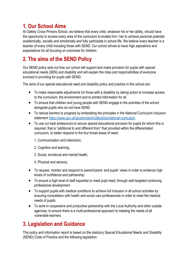# **1. Our School Aims**

At Oakley Cross Primary School, we believe that every child, whatever his or her ability, should have the opportunity to access every area of the curriculum to enable him / her to achieve personal potential academically, socially and emotionally and fully participate in school life. We believe every teacher is a teacher of every child including those with SEND. Our school strives to have high aspirations and expectations for all focusing on outcomes for children.

# **2. The aims of the SEND Policy**

Our SEND policy sets out how our school will support and make provision for pupils with special educational needs (SEN) and disability and will explain the roles and responsibilities of everyone involved in providing for pupils with SEND.

The aims of our special educational need and disability policy and practice in this school are:

- To make reasonable adjustments for those with a disability by taking action to increase access to the curriculum, the environment and to printed information for all.
- To ensure that children and young people with SEND engage in the activities of the school alongside pupils who do not have SEND.
- To reduce barriers to progress by embedding the principles in the National Curriculum Inclusion statement<https://www.gov.uk/government/collections/national-curriculum>
- To use our best endeavours to secure special educational provision for pupils for whom this is required, that is "additional to and different from" that provided within the differentiated curriculum, to better respond to the four broad areas of need:
	- 1. Communication and interaction,
	- 2. Cognition and learning,
	- 3. Social, emotional and mental health,
	- 4. Physical and sensory.
- To request, monitor and respond to parent/carers' and pupils' views in order to evidence high levels of confidence and partnership.
- To ensure a high level of staff expertise to meet pupil need, through well-targeted continuing professional development.
- To support pupils with medical conditions to achieve full inclusion in all school activities by ensuring consultation with health and social care professionals in order to meet the medical needs of pupils.
- To work in cooperative and productive partnership with the Local Authority and other outside agencies, to ensure there is a multi-professional approach to meeting the needs of all vulnerable learners.

# **3. Legislation and Guidance**

This policy and information report is based on the statutory Special Educational Needs and Disability (SEND) Code of Practice and the following legislation: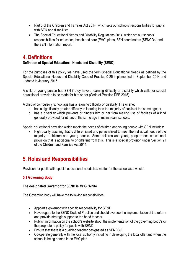- Part 3 of the Children and Families Act 2014, which sets out schools' responsibilities for pupils with SEN and disabilities
- The Special Educational Needs and Disability Regulations 2014, which set out schools' responsibilities for education, health and care (EHC) plans, SEN coordinators (SENCOs) and the SEN information report.

# **4. Definitions**

#### **Definition of Special Educational Needs and Disability (SEND):**

For the purposes of this policy we have used the term Special Educational Needs as defined by the Special Educational Needs and Disability Code of Practice 0-25 implemented in September 2014 and updated in January 2015.

A child or young person has SEN if they have a learning difficulty or disability which calls for special educational provision to be made for him or her (Code of Practice DFE 2015)

A child of compulsory school age has a learning difficulty or disability if he or she:

- a. has a significantly greater difficulty in learning than the majority of pupils of the same age; or,
- b. has a disability which prevents or hinders him or her from making use of facilities of a kind generally provided for others of the same age in mainstream schools.

Special educational provision which meets the needs of children and young people with SEN includes:

 High quality teaching that is differentiated and personalised to meet the individual needs of the majority of children and young people. Some children and young people need educational provision that is additional to or different from this. This is a special provision under Section 21 of the Children and Families Act 2014.

# **5. Roles and Responsibilities**

Provision for pupils with special educational needs is a matter for the school as a whole.

#### **5.1 Governing Body**

#### **The designated Governor for SEND is Mr G. White**

The Governing body will have the following responsibilities:

- Appoint a governor with specific responsibility for SEND
- Have regard to the SEND Code of Practice and should oversee the implementation of the reform and provide strategic support to the head teacher
- Publish information on the school's website about the implementation of the governing body's or the proprietor's policy for pupils with SEND
- Ensure that there is a qualified teacher designated as SENDCO
- Co-operate generally with the local authority including in developing the local offer and when the school is being named in an EHC plan.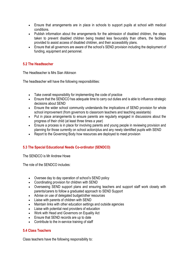- Ensure that arrangements are in place in schools to support pupils at school with medical conditions.
- Publish information about the arrangements for the admission of disabled children, the steps taken to prevent disabled children being treated less favourably than others, the facilities provided to assist access of disabled children, and their accessibility plans.
- Ensure that all governors are aware of the school's SEND provision including the deployment of funding, equipment and personnel.

#### **5.2 The Headteacher**

The Headteacher is Mrs Sian Atkinson

The headteacher will have the following responsibilities:

- Take overall responsibility for implementing the code of practice
- Ensure that the SENDCO has adequate time to carry out duties and is able to influence strategic decisions about SEND
- Ensure the wider school community understands the implications of SEND provision for whole school improvement (from governors to classroom teachers and teaching assistants)
- Put in place arrangements to ensure parents are regularly engaged in discussions about the progress of their child (at least three times a year)
- Ensure a process is in place for involving parents and young people in reviewing provision and planning for those currently on school action/plus and any newly identified pupils with SEND
- Report to the Governing Body how resources are deployed to meet provision

#### **5.3 The Special Educational Needs Co-ordinator (SENDCO)**

The SENDCO is Mr Andrew Howe

The role of the SENDCO includes:

- Oversee day to day operation of school's SEND policy
- Coordinating provision for children with SEND
- Overseeing SEND support plans and ensuring teachers and support staff work closely with parents/carers to follow a graduated approach to SEND Support
- Advise on use of delegated budget/other resources
- Liaise with parents of children with SEND
- Maintain links with other education settings and outside agencies
- Liaise with potential next providers of education
- Work with Head and Governors on Equality Act
- Ensure that SEND records are up to date
- Contribute to the in-service training of staff

#### **5.4 Class Teachers**

Class teachers have the following responsibility to: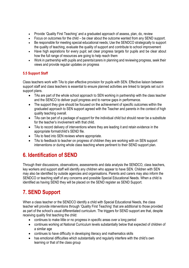- Provide 'Quality First Teaching' and a graduated approach of assess, plan, do, review
- Focus on outcomes for the child be clear about the outcome wanted from any SEND support.
- Be responsible for meeting special educational needs; Use the SENDCO strategically to support the quality of teaching, evaluate the quality of support and contribute to school improvement
- Have high aspirations for every pupil; set clear progress targets for pupils and be clear about how the full range of resources are going to help reach them
- Work in partnership with pupils and parents/carers in planning and reviewing progress, seek their views and provide regular updates on progress

#### **5.5 Support Staff**

Class teachers work with TAs to plan effective provision for pupils with SEN. Effective liaison between support staff and class teachers is essential to ensure planned activities are linked to targets set out in support plans.

- TAs are part of the whole school approach to SEN working in partnership with the class teacher and the SENCO to deliver pupil progress and to narrow gaps in performance.
- The support they give should be focused on the achievement of specific outcomes within the graduated approach to SEN support agreed with the Teacher and parents in the context of high quality teaching overall.
- TAs can be part of a package of support for the individual child but should never be a substitute for the teacher's involvement with that child.
- TAs to record delivery of interventions where they are leading it and retain evidence in the appropriate format/child's SEND file.
- TAs to feed into SEN reviews where appropriate.
- TAs to feedback to teacher on progress of children they are working with on SEN support interventions or during whole class teaching where pertinent to their SEND support plan.

# **6. Identification of SEND**

Through their discussions, observations, assessments and data analysis the SENDCO, class teachers, key workers and support staff will identify any children who appear to have SEN. Children with SEN may also be identified by outside agencies and organisations. Parents and carers may also inform the SENDCO or teaching staff of any concerns and possible Special Educational Needs. When a child is identified as having SEND they will be placed on the SEND register as SEND Support.

# **7. SEND Support**

When a class teacher or the SENDCO identify a child with Special Educational Needs, the class teacher will provide interventions through 'Quality First Teaching' that are additional to those provided as part of the school's usual differentiated curriculum. The triggers for SEND support are that, despite receiving quality first teaching the child:

- continues to make little or no progress in specific areas over a long period
- continues working at National Curriculum levels substantially below that expected of children of a similar age
- continues to have difficulty in developing literacy and mathematics skills
- has emotional difficulties which substantially and regularly interfere with the child's own learning or that of the class group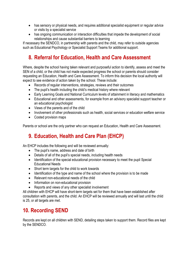- has sensory or physical needs, and requires additional specialist equipment or regular advice or visits by a specialist service
- has ongoing communication or interaction difficulties that impede the development of social relationships and cause substantial barriers to learning

If necessary the SENDCO, in partnership with parents and the child, may refer to outside agencies such as Educational Psychology or Specialist Support Teams for additional support.

# **8. Referral for Education, Health and Care Assessment**

Where, despite the school having taken relevant and purposeful action to identify, assess and meet the SEN of a child, or the child has not made expected progress the school or parents should consider requesting an Education, Health and Care Assessment. To inform this decision the local authority will expect to see evidence of action taken by the school. These include:

- Records of regular interventions, strategies, reviews and their outcomes
- The pupil's health including the child's medical history where relevant
- Early Learning Goals and National Curriculum levels of attainment in literacy and mathematics
- Educational and other assessments, for example from an advisory specialist support teacher or an educational psychologist
- Views of the parents and of the child
- Involvement of other professionals such as health, social services or education welfare service
- Costed provision maps

Parents or school are the only partner who can request an Education, Health and Care Assessment.

# **9. Education, Health and Care Plan (EHCP)**

An EHCP includes the following and will be reviewed annually:

- The pupil's name, address and date of birth
- Details of all of the pupil's special needs, including health needs
- Identification of the special educational provision necessary to meet the pupil Special Educational Needs
- Short term targets for the child to work towards
- Identification of the type and name of the school where the provision is to be made
- Relevant non-educational needs of the child
- Information on non-educational provision
- Reports and views of any other specialist involvement

All children with EHCP will have short-term targets set for them that have been established after consultation with parents, and the child. An EHCP will be reviewed annually and will last until the child is 25, or all targets are met.

# **10. Recording SEND**

Records are kept on all children with SEND, detailing steps taken to support them. Record files are kept by the SENDCO.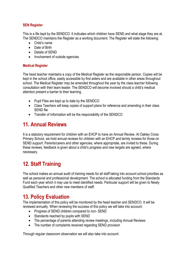#### **SEN Register**

This is a file kept by the SENDCO. It indicates which children have SEND and what stage they are at. The SENDCO maintains the Register as a working document. The Register will state the following:

- Child's name
- Date of Birth
- Details of SEND
- Involvement of outside agencies

#### **Medical Register**

The head teacher maintains a copy of the Medical Register as the responsible person. Copies will be kept in the school office, easily accessible by first aiders and are available in other areas throughout school. The Medical Register may be amended throughout the year by the class teacher following consultation with their team leader. The SENDCO will become involved should a child's medical attention present a barrier to their learning.

- Pupil Files are kept up to date by the SENDCO
- Class Teachers will keep copies of support plans for reference and amending in their class SEND file
- Transfer of Information will be the responsibility of the SENDCO

## **11. Annual Reviews**

It is a statutory requirement for children with an EHCP to have an Annual Review. At Oakley Cross Primary School, we hold annual reviews for children with an EHCP and termly reviews for those on SEND support. Parents/carers and other agencies, where appropriate, are invited to these. During these reviews, feedback is given about a child's progress and new targets are agreed, where necessary.

# **12. Staff Training**

The school makes an annual audit of training needs for all staff taking into account school priorities as well as personal and professional development. The school is allocated funding from the Standards Fund each year which it may use to meet identified needs. Particular support will be given to Newly Qualified Teachers and other new members of staff.

### **13. Policy Evaluation**

The implementation of this policy will be monitored by the head teacher and SENDCO. It will be reviewed annually. When reviewing the success of this policy we will take into account:

- Progress of SEND children compared to non- SEND
- Standards reached by pupils with SEND
- The percentage of parents attending review meetings, including Annual Reviews
- The number of complaints received regarding SEND provision

Through regular classroom observation we will also take into account: